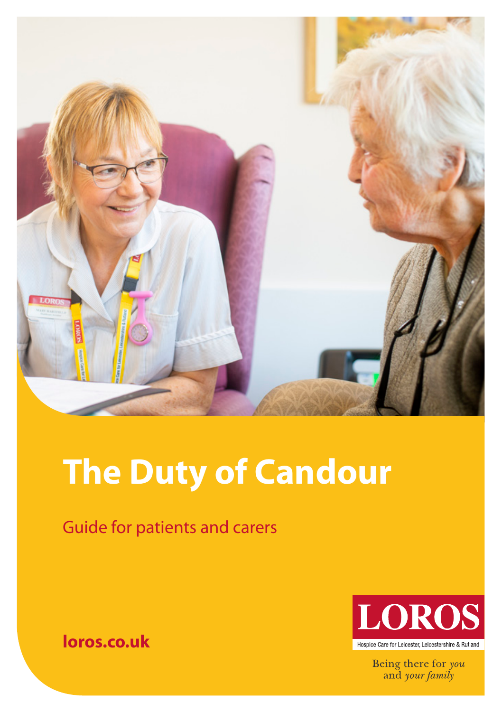

# **The Duty of Candour**

## Guide for patients and carers



Being there for you and your family

**loros.co.uk**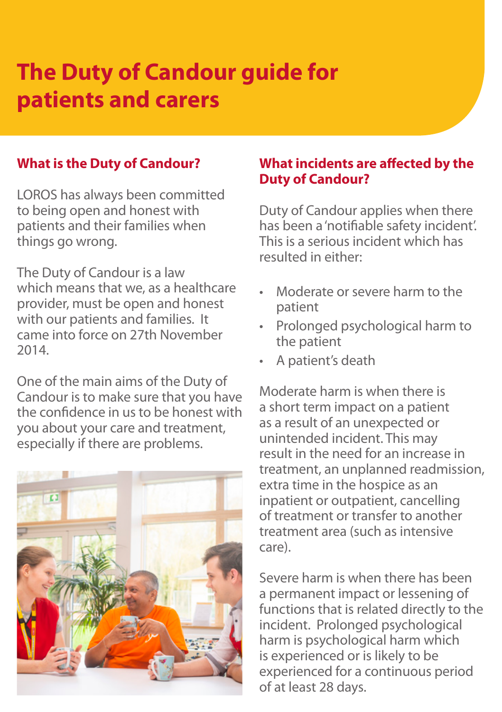# **The Duty of Candour guide for patients and carers**

#### **What is the Duty of Candour?**

LOROS has always been committed to being open and honest with patients and their families when things go wrong.

The Duty of Candour is a law which means that we, as a healthcare provider, must be open and honest with our patients and families. It came into force on 27th November 2014.

One of the main aims of the Duty of Candour is to make sure that you have the confidence in us to be honest with you about your care and treatment, especially if there are problems.



#### **What incidents are affected by the Duty of Candour?**

Duty of Candour applies when there has been a 'notifiable safety incident'. This is a serious incident which has resulted in either:

- Moderate or severe harm to the patient
- Prolonged psychological harm to the patient
- A patient's death

Moderate harm is when there is a short term impact on a patient as a result of an unexpected or unintended incident. This may result in the need for an increase in treatment, an unplanned readmission, extra time in the hospice as an inpatient or outpatient, cancelling of treatment or transfer to another treatment area (such as intensive care).

Severe harm is when there has been a permanent impact or lessening of functions that is related directly to the incident. Prolonged psychological harm is psychological harm which is experienced or is likely to be experienced for a continuous period of at least 28 days.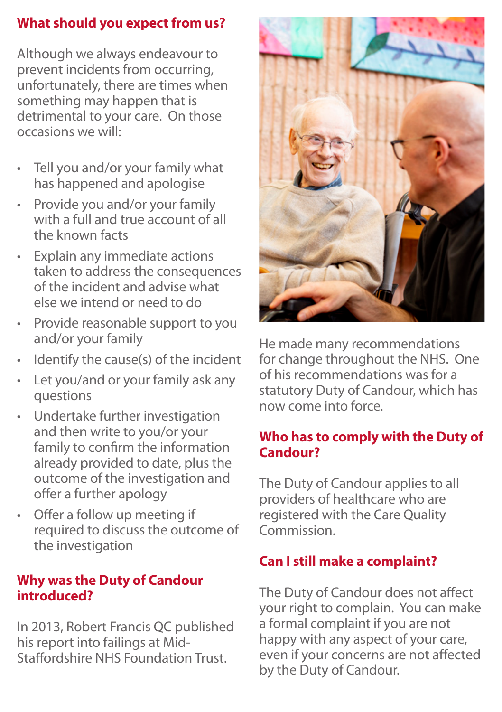#### **What should you expect from us?**

Although we always endeavour to prevent incidents from occurring, unfortunately, there are times when something may happen that is detrimental to your care. On those occasions we will:

- Tell you and/or your family what has happened and apologise
- Provide you and/or your family with a full and true account of all the known facts
- Explain any immediate actions taken to address the consequences of the incident and advise what else we intend or need to do
- Provide reasonable support to you and/or your family
- Identify the cause(s) of the incident
- Let you/and or your family ask any questions
- Undertake further investigation and then write to you/or your family to confirm the information already provided to date, plus the outcome of the investigation and offer a further apology
- Offer a follow up meeting if required to discuss the outcome of the investigation

#### **Why was the Duty of Candour introduced?**

In 2013, Robert Francis QC published his report into failings at Mid-Staffordshire NHS Foundation Trust.



He made many recommendations for change throughout the NHS. One of his recommendations was for a statutory Duty of Candour, which has now come into force.

#### **Who has to comply with the Duty of Candour?**

The Duty of Candour applies to all providers of healthcare who are registered with the Care Quality Commission.

#### **Can I still make a complaint?**

The Duty of Candour does not affect your right to complain. You can make a formal complaint if you are not happy with any aspect of your care, even if your concerns are not affected by the Duty of Candour.